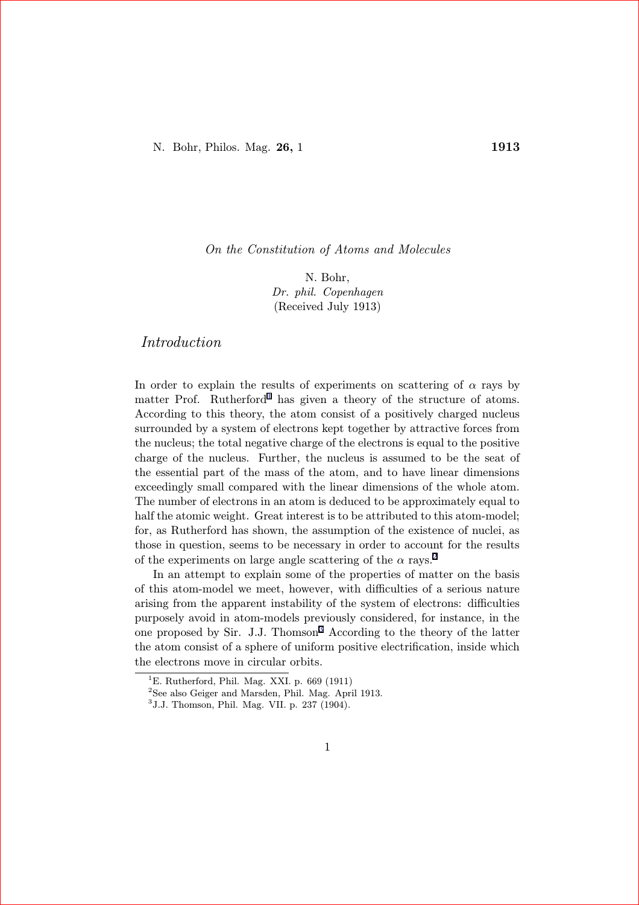#### On the Constitution of Atoms and Molecules

N. Bohr, Dr. phil. Copenhagen (Received July 1913)

#### Introduction

In order to explain the results of experiments on scattering of  $\alpha$  rays by matter Prof. Rutherford<sup>[1](#page-0-0)</sup> has given a theory of the structure of atoms. According to this theory, the atom consist of a positively charged nucleus surrounded by a system of electrons kept together by attractive forces from the nucleus; the total negative charge of the electrons is equal to the positive charge of the nucleus. Further, the nucleus is assumed to be the seat of the essential part of the mass of the atom, and to have linear dimensions exceedingly small compared with the linear dimensions of the whole atom. The number of electrons in an atom is deduced to be approximately equal to half the atomic weight. Great interest is to be attributed to this atom-model; for, as Rutherford has shown, the assumption of the existence of nuclei, as those in question, seems to be necessary in order to account for the results of the experiments on large angle scattering of the  $\alpha$  rays.<sup>[2](#page-0-0)</sup>

In an attempt to explain some of the properties of matter on the basis of this atom-model we meet, however, with difficulties of a serious nature arising from the apparent instability of the system of electrons: difficulties purposely avoid in atom-models previously considered, for instance, in the one proposed by Sir. J.J. Thomson[3](#page-0-0) According to the theory of the latter the atom consist of a sphere of uniform positive electrification, inside which the electrons move in circular orbits.

<sup>&</sup>lt;sup>1</sup>E. Rutherford, Phil. Mag. XXI. p. 669 (1911)

<sup>2</sup>See also Geiger and Marsden, Phil. Mag. April 1913.

<span id="page-0-0"></span><sup>3</sup>J.J. Thomson, Phil. Mag. VII. p. 237 (1904).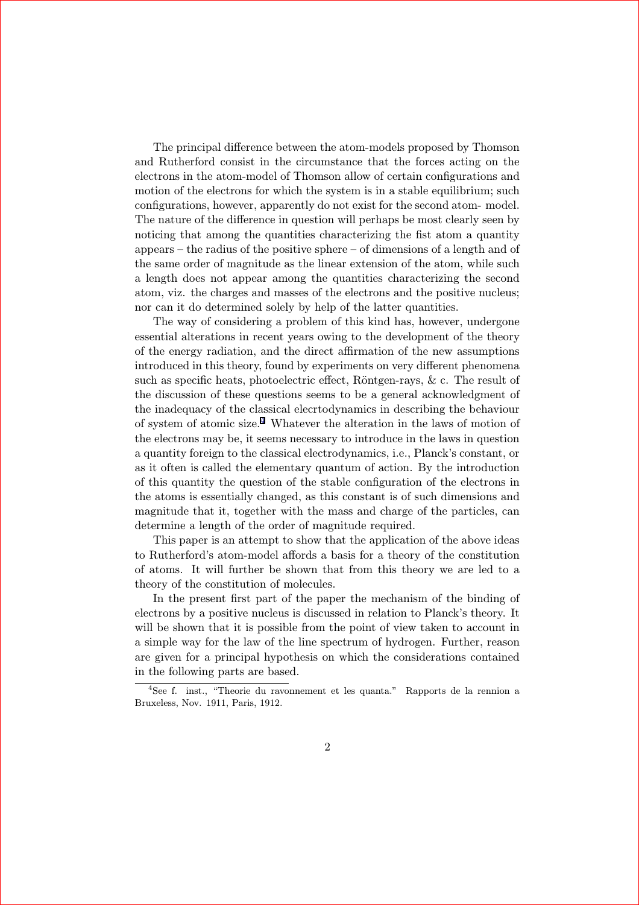The principal difference between the atom-models proposed by Thomson and Rutherford consist in the circumstance that the forces acting on the electrons in the atom-model of Thomson allow of certain configurations and motion of the electrons for which the system is in a stable equilibrium; such configurations, however, apparently do not exist for the second atom- model. The nature of the difference in question will perhaps be most clearly seen by noticing that among the quantities characterizing the fist atom a quantity appears – the radius of the positive sphere – of dimensions of a length and of the same order of magnitude as the linear extension of the atom, while such a length does not appear among the quantities characterizing the second atom, viz. the charges and masses of the electrons and the positive nucleus; nor can it do determined solely by help of the latter quantities.

The way of considering a problem of this kind has, however, undergone essential alterations in recent years owing to the development of the theory of the energy radiation, and the direct affirmation of the new assumptions introduced in this theory, found by experiments on very different phenomena such as specific heats, photoelectric effect, Röntgen-rays,  $\&c$ . The result of the discussion of these questions seems to be a general acknowledgment of the inadequacy of the classical elecrtodynamics in describing the behaviour of system of atomic size.[4](#page-1-0) Whatever the alteration in the laws of motion of the electrons may be, it seems necessary to introduce in the laws in question a quantity foreign to the classical electrodynamics, i.e., Planck's constant, or as it often is called the elementary quantum of action. By the introduction of this quantity the question of the stable configuration of the electrons in the atoms is essentially changed, as this constant is of such dimensions and magnitude that it, together with the mass and charge of the particles, can determine a length of the order of magnitude required.

This paper is an attempt to show that the application of the above ideas to Rutherford's atom-model affords a basis for a theory of the constitution of atoms. It will further be shown that from this theory we are led to a theory of the constitution of molecules.

In the present first part of the paper the mechanism of the binding of electrons by a positive nucleus is discussed in relation to Planck's theory. It will be shown that it is possible from the point of view taken to account in a simple way for the law of the line spectrum of hydrogen. Further, reason are given for a principal hypothesis on which the considerations contained in the following parts are based.

<span id="page-1-0"></span><sup>4</sup>See f. inst., "Theorie du ravonnement et les quanta." Rapports de la rennion a Bruxeless, Nov. 1911, Paris, 1912.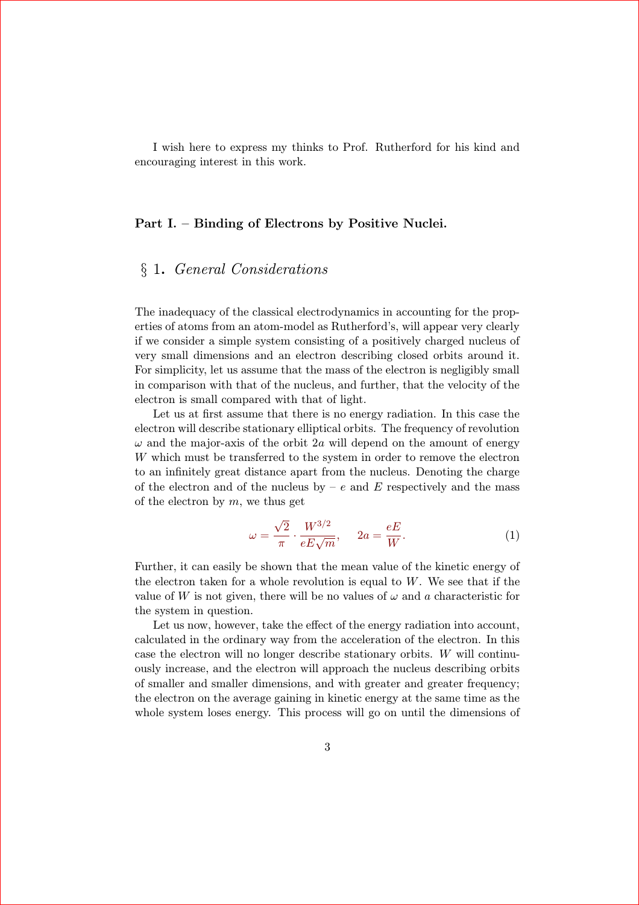I wish here to express my thinks to Prof. Rutherford for his kind and encouraging interest in this work.

#### Part I. – Binding of Electrons by Positive Nuclei.

## § 1. General Considerations

The inadequacy of the classical electrodynamics in accounting for the properties of atoms from an atom-model as Rutherford's, will appear very clearly if we consider a simple system consisting of a positively charged nucleus of very small dimensions and an electron describing closed orbits around it. For simplicity, let us assume that the mass of the electron is negligibly small in comparison with that of the nucleus, and further, that the velocity of the electron is small compared with that of light.

Let us at first assume that there is no energy radiation. In this case the electron will describe stationary elliptical orbits. The frequency of revolution  $\omega$  and the major-axis of the orbit 2a will depend on the amount of energy W which must be transferred to the system in order to remove the electron to an infinitely great distance apart from the nucleus. Denoting the charge of the electron and of the nucleus by –  $e$  and  $E$  respectively and the mass of the electron by  $m$ , we thus get

$$
\omega = \frac{\sqrt{2}}{\pi} \cdot \frac{W^{3/2}}{eE\sqrt{m}}, \qquad 2a = \frac{eE}{W}.\tag{1}
$$

Further, it can easily be shown that the mean value of the kinetic energy of the electron taken for a whole revolution is equal to  $W$ . We see that if the value of W is not given, there will be no values of  $\omega$  and a characteristic for the system in question.

Let us now, however, take the effect of the energy radiation into account, calculated in the ordinary way from the acceleration of the electron. In this case the electron will no longer describe stationary orbits. W will continuously increase, and the electron will approach the nucleus describing orbits of smaller and smaller dimensions, and with greater and greater frequency; the electron on the average gaining in kinetic energy at the same time as the whole system loses energy. This process will go on until the dimensions of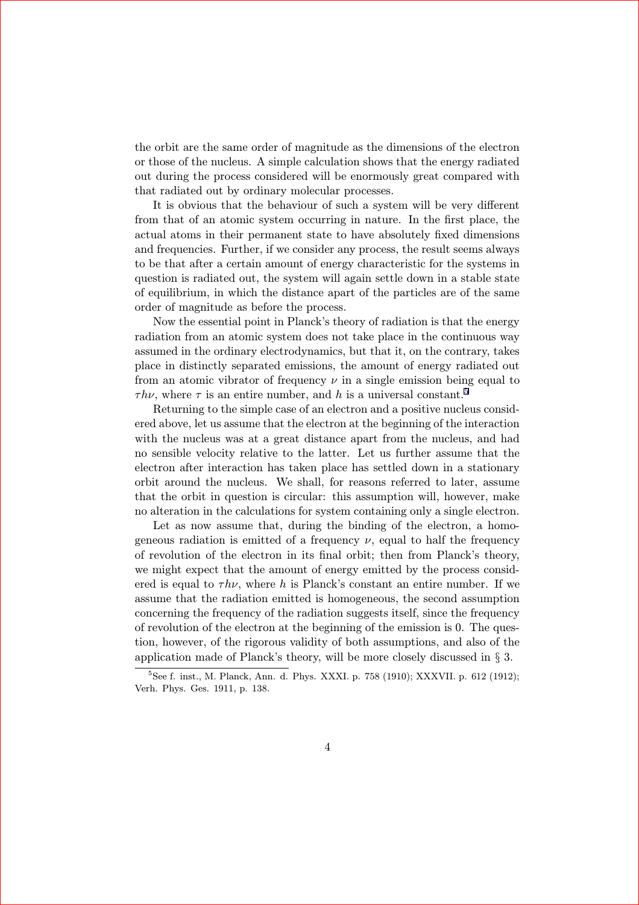the orbit are the same order of magnitude as the dimensions of the electron or those of the nucleus. A simple calculation shows that the energy radiated out during the process considered will be enormously great compared with that radiated out by ordinary molecular processes.

It is obvious that the behaviour of such a system will be very different from that of an atomic system occurring in nature. In the first place, the actual atoms in their permanent state to have absolutely fixed dimensions and frequencies. Further, if we consider any process, the result seems always to be that after a certain amount of energy characteristic for the systems in question is radiated out, the system will again settle down in a stable state of equilibrium, in which the distance apart of the particles are of the same order of magnitude as before the process.

Now the essential point in Planck's theory of radiation is that the energy radiation from an atomic system does not take place in the continuous way assumed in the ordinary electrodynamics, but that it, on the contrary, takes place in distinctly separated emissions, the amount of energy radiated out from an atomic vibrator of frequency  $\nu$  in a single emission being equal to  $\tau h \nu$ , where  $\tau$  is an entire number, and h is a universal constant.<sup>[5](#page-3-0)</sup>

Returning to the simple case of an electron and a positive nucleus considered above, let us assume that the electron at the beginning of the interaction with the nucleus was at a great distance apart from the nucleus, and had no sensible velocity relative to the latter. Let us further assume that the electron after interaction has taken place has settled down in a stationary orbit around the nucleus. We shall, for reasons referred to later, assume that the orbit in question is circular: this assumption will, however, make no alteration in the calculations for system containing only a single electron.

Let as now assume that, during the binding of the electron, a homogeneous radiation is emitted of a frequency  $\nu$ , equal to half the frequency of revolution of the electron in its final orbit; then from Planck's theory, we might expect that the amount of energy emitted by the process considered is equal to  $\tau h \nu$ , where h is Planck's constant an entire number. If we assume that the radiation emitted is homogeneous, the second assumption concerning the frequency of the radiation suggests itself, since the frequency of revolution of the electron at the beginning of the emission is 0. The question, however, of the rigorous validity of both assumptions, and also of the application made of Planck's theory, will be more closely discussed in § 3.

<span id="page-3-0"></span> ${}^{5}$ See f. inst., M. Planck, Ann. d. Phys. XXXI. p. 758 (1910); XXXVII. p. 612 (1912); Verh. Phys. Ges. 1911, p. 138.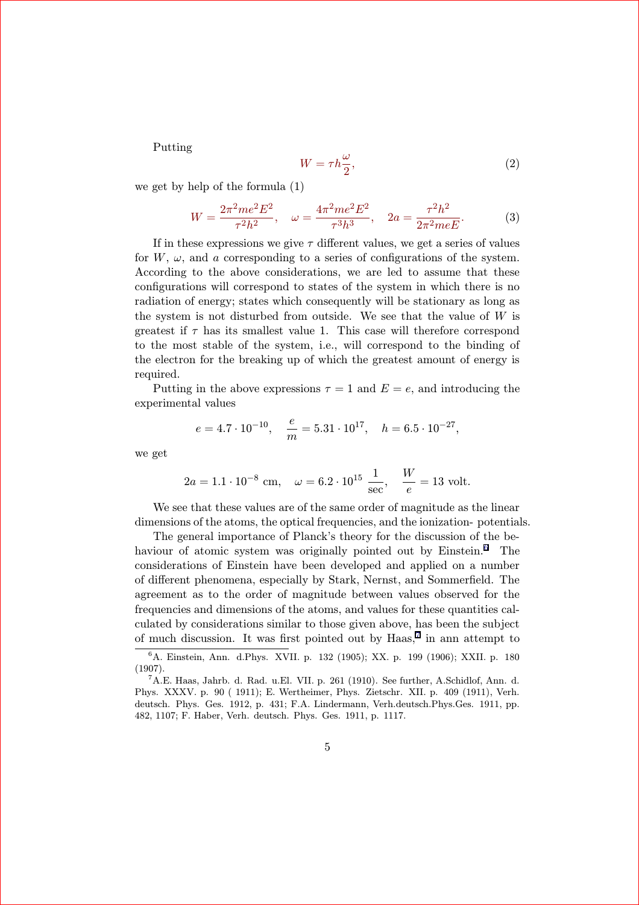Putting

$$
W = \tau h \frac{\omega}{2},\tag{2}
$$

we get by help of the formula (1)

$$
W = \frac{2\pi^2me^2E^2}{\tau^2h^2}, \quad \omega = \frac{4\pi^2me^2E^2}{\tau^3h^3}, \quad 2a = \frac{\tau^2h^2}{2\pi^2meE}.
$$
 (3)

If in these expressions we give  $\tau$  different values, we get a series of values for  $W, \omega$ , and a corresponding to a series of configurations of the system. According to the above considerations, we are led to assume that these configurations will correspond to states of the system in which there is no radiation of energy; states which consequently will be stationary as long as the system is not disturbed from outside. We see that the value of W is greatest if  $\tau$  has its smallest value 1. This case will therefore correspond to the most stable of the system, i.e., will correspond to the binding of the electron for the breaking up of which the greatest amount of energy is required.

Putting in the above expressions  $\tau = 1$  and  $E = e$ , and introducing the experimental values

$$
e = 4.7 \cdot 10^{-10}
$$
,  $\frac{e}{m} = 5.31 \cdot 10^{17}$ ,  $h = 6.5 \cdot 10^{-27}$ ,

we get

$$
2a = 1.1 \cdot 10^{-8}
$$
 cm,  $\omega = 6.2 \cdot 10^{15} \frac{1}{\text{sec}}$ ,  $\frac{W}{e} = 13$  volt.

We see that these values are of the same order of magnitude as the linear dimensions of the atoms, the optical frequencies, and the ionization- potentials.

The general importance of Planck's theory for the discussion of the be-haviour of atomic system was originally pointed out by Einstein.<sup>[6](#page-4-0)</sup> The considerations of Einstein have been developed and applied on a number of different phenomena, especially by Stark, Nernst, and Sommerfield. The agreement as to the order of magnitude between values observed for the frequencies and dimensions of the atoms, and values for these quantities calculated by considerations similar to those given above, has been the subject of much discussion. It was first pointed out by  $\text{Haas}^7$  $\text{Haas}^7$  in ann attempt to

<sup>6</sup>A. Einstein, Ann. d.Phys. XVII. p. 132 (1905); XX. p. 199 (1906); XXII. p. 180 (1907).

<span id="page-4-0"></span><sup>7</sup>A.E. Haas, Jahrb. d. Rad. u.El. VII. p. 261 (1910). See further, A.Schidlof, Ann. d. Phys. XXXV. p. 90 ( 1911); E. Wertheimer, Phys. Zietschr. XII. p. 409 (1911), Verh. deutsch. Phys. Ges. 1912, p. 431; F.A. Lindermann, Verh.deutsch.Phys.Ges. 1911, pp. 482, 1107; F. Haber, Verh. deutsch. Phys. Ges. 1911, p. 1117.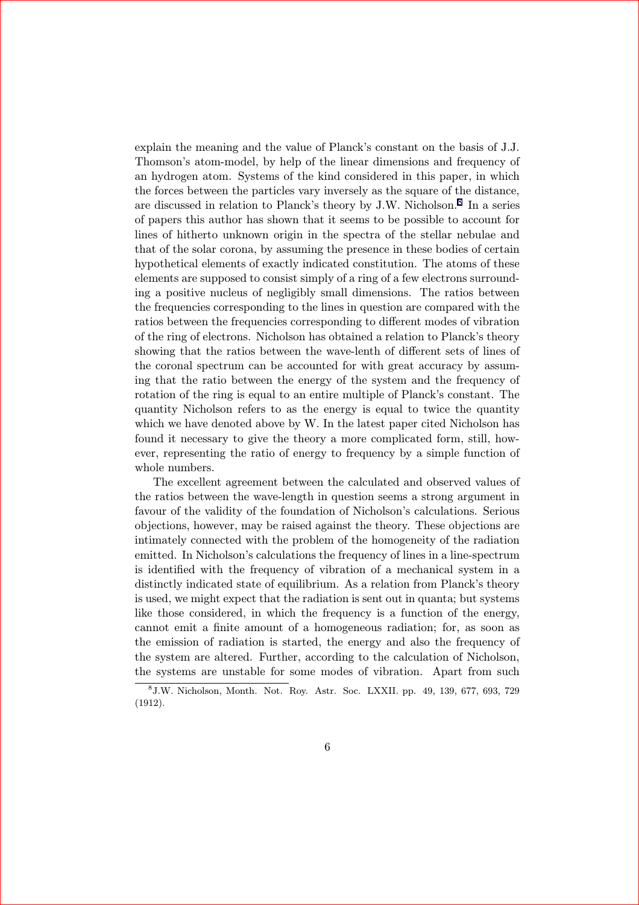explain the meaning and the value of Planck's constant on the basis of J.J. Thomson's atom-model, by help of the linear dimensions and frequency of an hydrogen atom. Systems of the kind considered in this paper, in which the forces between the particles vary inversely as the square of the distance, are discussed in relation to Planck's theory by J.W. Nicholson.[8](#page-5-0) In a series of papers this author has shown that it seems to be possible to account for lines of hitherto unknown origin in the spectra of the stellar nebulae and that of the solar corona, by assuming the presence in these bodies of certain hypothetical elements of exactly indicated constitution. The atoms of these elements are supposed to consist simply of a ring of a few electrons surrounding a positive nucleus of negligibly small dimensions. The ratios between the frequencies corresponding to the lines in question are compared with the ratios between the frequencies corresponding to different modes of vibration of the ring of electrons. Nicholson has obtained a relation to Planck's theory showing that the ratios between the wave-lenth of different sets of lines of the coronal spectrum can be accounted for with great accuracy by assuming that the ratio between the energy of the system and the frequency of rotation of the ring is equal to an entire multiple of Planck's constant. The quantity Nicholson refers to as the energy is equal to twice the quantity which we have denoted above by W. In the latest paper cited Nicholson has found it necessary to give the theory a more complicated form, still, however, representing the ratio of energy to frequency by a simple function of whole numbers.

The excellent agreement between the calculated and observed values of the ratios between the wave-length in question seems a strong argument in favour of the validity of the foundation of Nicholson's calculations. Serious objections, however, may be raised against the theory. These objections are intimately connected with the problem of the homogeneity of the radiation emitted. In Nicholson's calculations the frequency of lines in a line-spectrum is identified with the frequency of vibration of a mechanical system in a distinctly indicated state of equilibrium. As a relation from Planck's theory is used, we might expect that the radiation is sent out in quanta; but systems like those considered, in which the frequency is a function of the energy, cannot emit a finite amount of a homogeneous radiation; for, as soon as the emission of radiation is started, the energy and also the frequency of the system are altered. Further, according to the calculation of Nicholson, the systems are unstable for some modes of vibration. Apart from such

<span id="page-5-0"></span> $8$ J.W. Nicholson, Month. Not. Roy. Astr. Soc. LXXII. pp. 49, 139, 677, 693, 729 (1912).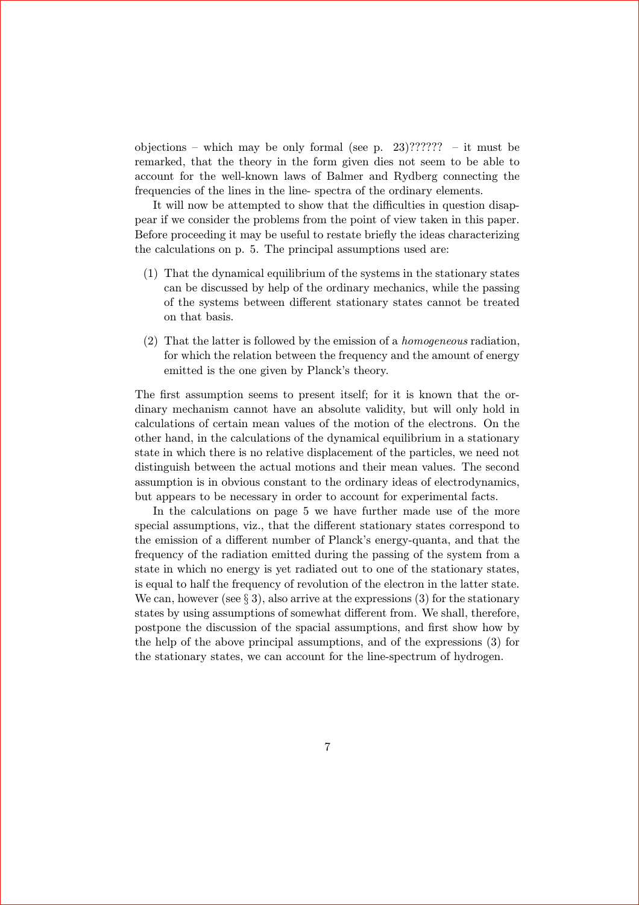objections – which may be only formal (see p. 23)??????? – it must be remarked, that the theory in the form given dies not seem to be able to account for the well-known laws of Balmer and Rydberg connecting the frequencies of the lines in the line- spectra of the ordinary elements.

It will now be attempted to show that the difficulties in question disappear if we consider the problems from the point of view taken in this paper. Before proceeding it may be useful to restate briefly the ideas characterizing the calculations on p. 5. The principal assumptions used are:

- (1) That the dynamical equilibrium of the systems in the stationary states can be discussed by help of the ordinary mechanics, while the passing of the systems between different stationary states cannot be treated on that basis.
- (2) That the latter is followed by the emission of a homogeneous radiation, for which the relation between the frequency and the amount of energy emitted is the one given by Planck's theory.

The first assumption seems to present itself; for it is known that the ordinary mechanism cannot have an absolute validity, but will only hold in calculations of certain mean values of the motion of the electrons. On the other hand, in the calculations of the dynamical equilibrium in a stationary state in which there is no relative displacement of the particles, we need not distinguish between the actual motions and their mean values. The second assumption is in obvious constant to the ordinary ideas of electrodynamics, but appears to be necessary in order to account for experimental facts.

In the calculations on page 5 we have further made use of the more special assumptions, viz., that the different stationary states correspond to the emission of a different number of Planck's energy-quanta, and that the frequency of the radiation emitted during the passing of the system from a state in which no energy is yet radiated out to one of the stationary states, is equal to half the frequency of revolution of the electron in the latter state. We can, however (see  $\S 3$ ), also arrive at the expressions (3) for the stationary states by using assumptions of somewhat different from. We shall, therefore, postpone the discussion of the spacial assumptions, and first show how by the help of the above principal assumptions, and of the expressions (3) for the stationary states, we can account for the line-spectrum of hydrogen.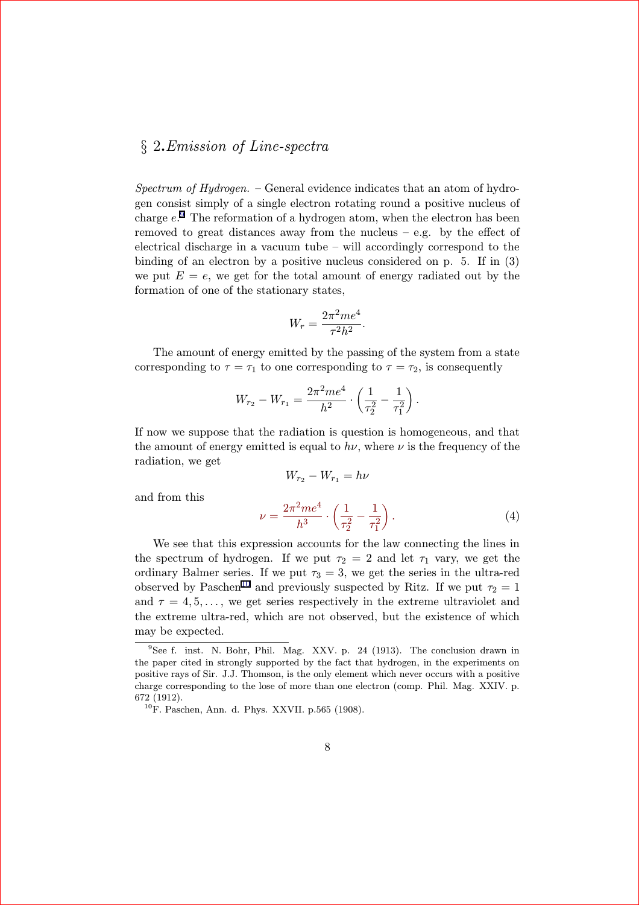#### § 2.Emission of Line-spectra

Spectrum of Hydrogen. – General evidence indicates that an atom of hydrogen consist simply of a single electron rotating round a positive nucleus of charge  $e^{.9}$  $e^{.9}$  $e^{.9}$  The reformation of a hydrogen atom, when the electron has been removed to great distances away from the nucleus  $-$  e.g. by the effect of electrical discharge in a vacuum tube – will accordingly correspond to the binding of an electron by a positive nucleus considered on p. 5. If in (3) we put  $E = e$ , we get for the total amount of energy radiated out by the formation of one of the stationary states,

$$
W_r = \frac{2\pi^2me^4}{\tau^2h^2}.
$$

The amount of energy emitted by the passing of the system from a state corresponding to  $\tau = \tau_1$  to one corresponding to  $\tau = \tau_2$ , is consequently

$$
W_{r_2} - W_{r_1} = \frac{2\pi^2me^4}{h^2} \cdot \left(\frac{1}{\tau_2^2} - \frac{1}{\tau_1^2}\right).
$$

If now we suppose that the radiation is question is homogeneous, and that the amount of energy emitted is equal to  $h\nu$ , where  $\nu$  is the frequency of the radiation, we get

$$
W_{r_2}-W_{r_1}=h\nu
$$

and from this

$$
\nu = \frac{2\pi^2me^4}{h^3} \cdot \left(\frac{1}{\tau_2^2} - \frac{1}{\tau_1^2}\right). \tag{4}
$$

We see that this expression accounts for the law connecting the lines in the spectrum of hydrogen. If we put  $\tau_2 = 2$  and let  $\tau_1$  vary, we get the ordinary Balmer series. If we put  $\tau_3 = 3$ , we get the series in the ultra-red observed by Paschen<sup>[10](#page-7-0)</sup> and previously suspected by Ritz. If we put  $\tau_2 = 1$ and  $\tau = 4, 5, \ldots$ , we get series respectively in the extreme ultraviolet and the extreme ultra-red, which are not observed, but the existence of which may be expected.

 ${}^{9}$ See f. inst. N. Bohr, Phil. Mag. XXV. p. 24 (1913). The conclusion drawn in the paper cited in strongly supported by the fact that hydrogen, in the experiments on positive rays of Sir. J.J. Thomson, is the only element which never occurs with a positive charge corresponding to the lose of more than one electron (comp. Phil. Mag. XXIV. p. 672 (1912).

<span id="page-7-0"></span> $10$ F. Paschen, Ann. d. Phys. XXVII. p.565 (1908).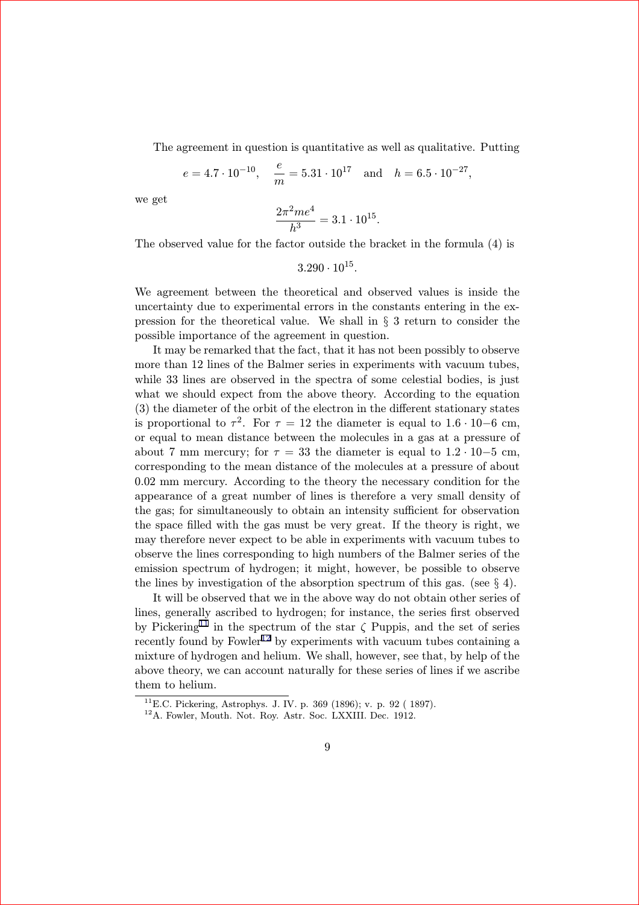The agreement in question is quantitative as well as qualitative. Putting

$$
e = 4.7 \cdot 10^{-10}
$$
,  $\frac{e}{m} = 5.31 \cdot 10^{17}$  and  $h = 6.5 \cdot 10^{-27}$ ,

we get

$$
\frac{2\pi^2me^4}{h^3} = 3.1 \cdot 10^{15}.
$$

The observed value for the factor outside the bracket in the formula (4) is

 $3.290 \cdot 10^{15}$ .

We agreement between the theoretical and observed values is inside the uncertainty due to experimental errors in the constants entering in the expression for the theoretical value. We shall in § 3 return to consider the possible importance of the agreement in question.

It may be remarked that the fact, that it has not been possibly to observe more than 12 lines of the Balmer series in experiments with vacuum tubes, while 33 lines are observed in the spectra of some celestial bodies, is just what we should expect from the above theory. According to the equation (3) the diameter of the orbit of the electron in the different stationary states is proportional to  $\tau^2$ . For  $\tau = 12$  the diameter is equal to 1.6 · 10−6 cm, or equal to mean distance between the molecules in a gas at a pressure of about 7 mm mercury; for  $\tau = 33$  the diameter is equal to 1.2 · 10−5 cm, corresponding to the mean distance of the molecules at a pressure of about 0.02 mm mercury. According to the theory the necessary condition for the appearance of a great number of lines is therefore a very small density of the gas; for simultaneously to obtain an intensity sufficient for observation the space filled with the gas must be very great. If the theory is right, we may therefore never expect to be able in experiments with vacuum tubes to observe the lines corresponding to high numbers of the Balmer series of the emission spectrum of hydrogen; it might, however, be possible to observe the lines by investigation of the absorption spectrum of this gas. (see  $\S 4$ ).

It will be observed that we in the above way do not obtain other series of lines, generally ascribed to hydrogen; for instance, the series first observed by Pickering<sup>[11](#page-8-0)</sup> in the spectrum of the star  $\zeta$  Puppis, and the set of series recently found by Fowler<sup>[12](#page-8-0)</sup> by experiments with vacuum tubes containing a mixture of hydrogen and helium. We shall, however, see that, by help of the above theory, we can account naturally for these series of lines if we ascribe them to helium.

 $11$ E.C. Pickering, Astrophys. J. IV. p. 369 (1896); v. p. 92 (1897).

<span id="page-8-0"></span><sup>12</sup>A. Fowler, Mouth. Not. Roy. Astr. Soc. LXXIII. Dec. 1912.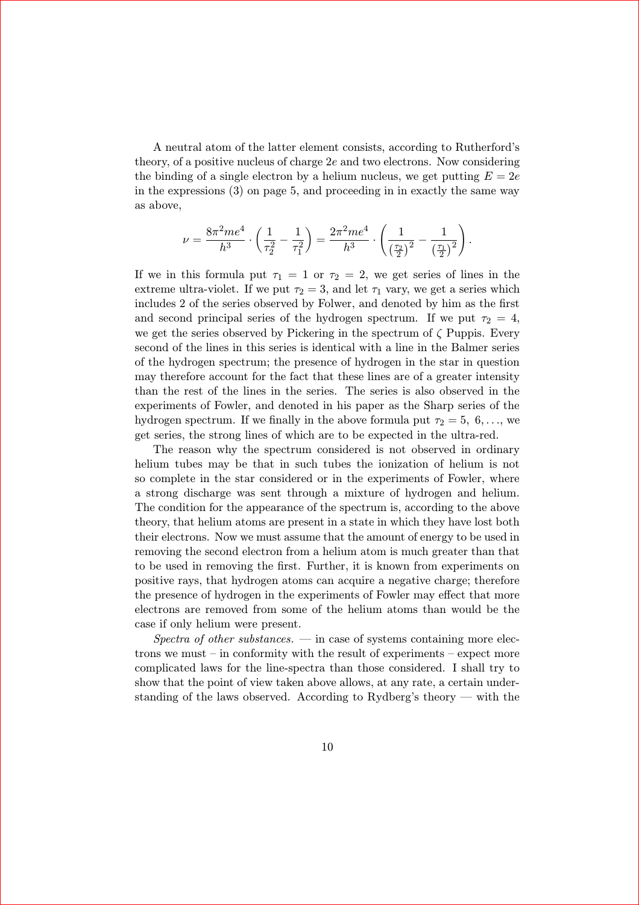A neutral atom of the latter element consists, according to Rutherford's theory, of a positive nucleus of charge 2e and two electrons. Now considering the binding of a single electron by a helium nucleus, we get putting  $E = 2e$ in the expressions (3) on page 5, and proceeding in in exactly the same way as above,

$$
\nu = \frac{8\pi^2me^4}{h^3}\cdot\left(\frac{1}{\tau_2^2}-\frac{1}{\tau_1^2}\right) = \frac{2\pi^2me^4}{h^3}\cdot\left(\frac{1}{\left(\frac{\tau_2}{2}\right)^2}-\frac{1}{\left(\frac{\tau_1}{2}\right)^2}\right).
$$

If we in this formula put  $\tau_1 = 1$  or  $\tau_2 = 2$ , we get series of lines in the extreme ultra-violet. If we put  $\tau_2 = 3$ , and let  $\tau_1$  vary, we get a series which includes 2 of the series observed by Folwer, and denoted by him as the first and second principal series of the hydrogen spectrum. If we put  $\tau_2 = 4$ , we get the series observed by Pickering in the spectrum of  $\zeta$  Puppis. Every second of the lines in this series is identical with a line in the Balmer series of the hydrogen spectrum; the presence of hydrogen in the star in question may therefore account for the fact that these lines are of a greater intensity than the rest of the lines in the series. The series is also observed in the experiments of Fowler, and denoted in his paper as the Sharp series of the hydrogen spectrum. If we finally in the above formula put  $\tau_2 = 5, 6, \ldots$ , we get series, the strong lines of which are to be expected in the ultra-red.

The reason why the spectrum considered is not observed in ordinary helium tubes may be that in such tubes the ionization of helium is not so complete in the star considered or in the experiments of Fowler, where a strong discharge was sent through a mixture of hydrogen and helium. The condition for the appearance of the spectrum is, according to the above theory, that helium atoms are present in a state in which they have lost both their electrons. Now we must assume that the amount of energy to be used in removing the second electron from a helium atom is much greater than that to be used in removing the first. Further, it is known from experiments on positive rays, that hydrogen atoms can acquire a negative charge; therefore the presence of hydrogen in the experiments of Fowler may effect that more electrons are removed from some of the helium atoms than would be the case if only helium were present.

Spectra of other substances. — in case of systems containing more electrons we must – in conformity with the result of experiments – expect more complicated laws for the line-spectra than those considered. I shall try to show that the point of view taken above allows, at any rate, a certain understanding of the laws observed. According to Rydberg's theory — with the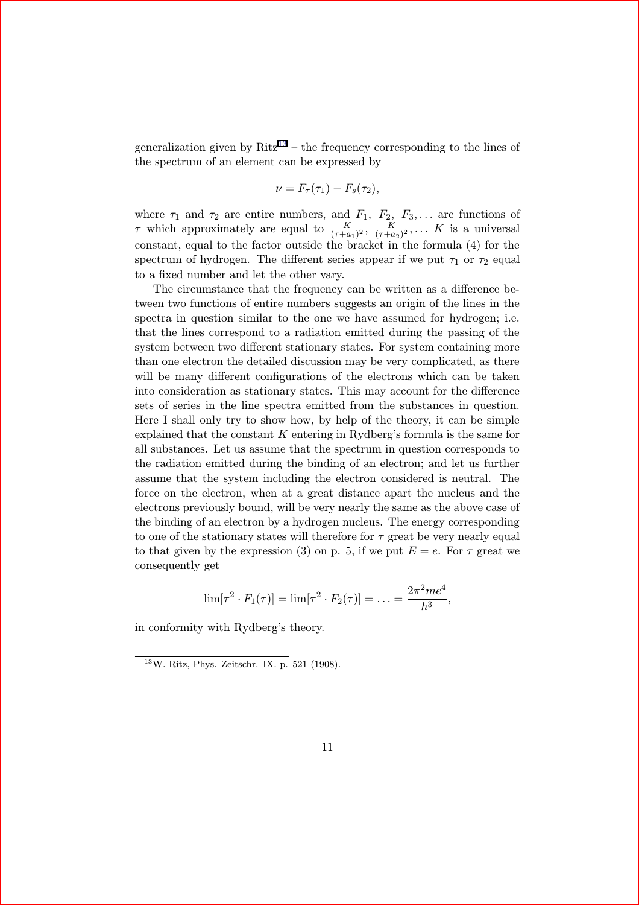generalization given by  $Ritz^{13}$  $Ritz^{13}$  $Ritz^{13}$  – the frequency corresponding to the lines of the spectrum of an element can be expressed by

$$
\nu = F_{\tau}(\tau_1) - F_s(\tau_2),
$$

where  $\tau_1$  and  $\tau_2$  are entire numbers, and  $F_1$ ,  $F_2$ ,  $F_3$ ,... are functions of  $\tau$  which approximately are equal to  $\frac{K}{(\tau+a_1)^2}, \frac{K}{(\tau+a_2)^2}, \ldots$  K is a universal constant, equal to the factor outside the bracket in the formula (4) for the spectrum of hydrogen. The different series appear if we put  $\tau_1$  or  $\tau_2$  equal to a fixed number and let the other vary.

The circumstance that the frequency can be written as a difference between two functions of entire numbers suggests an origin of the lines in the spectra in question similar to the one we have assumed for hydrogen; i.e. that the lines correspond to a radiation emitted during the passing of the system between two different stationary states. For system containing more than one electron the detailed discussion may be very complicated, as there will be many different configurations of the electrons which can be taken into consideration as stationary states. This may account for the difference sets of series in the line spectra emitted from the substances in question. Here I shall only try to show how, by help of the theory, it can be simple explained that the constant  $K$  entering in Rydberg's formula is the same for all substances. Let us assume that the spectrum in question corresponds to the radiation emitted during the binding of an electron; and let us further assume that the system including the electron considered is neutral. The force on the electron, when at a great distance apart the nucleus and the electrons previously bound, will be very nearly the same as the above case of the binding of an electron by a hydrogen nucleus. The energy corresponding to one of the stationary states will therefore for  $\tau$  great be very nearly equal to that given by the expression (3) on p. 5, if we put  $E = e$ . For  $\tau$  great we consequently get

$$
\lim [\tau^2 \cdot F_1(\tau)] = \lim [\tau^2 \cdot F_2(\tau)] = \ldots = \frac{2\pi^2 m e^4}{h^3},
$$

in conformity with Rydberg's theory.

<span id="page-10-0"></span><sup>13</sup>W. Ritz, Phys. Zeitschr. IX. p. 521 (1908).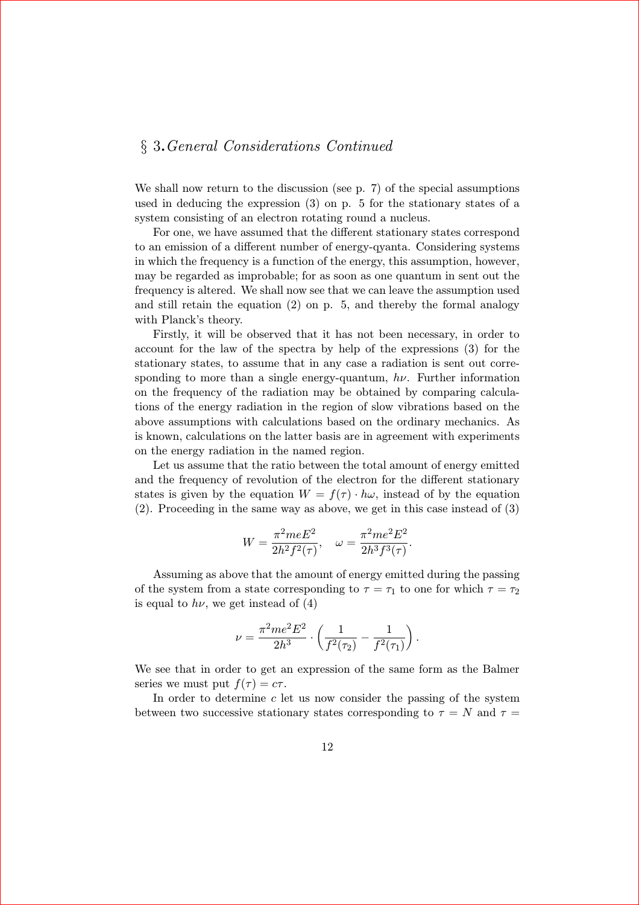## § 3.General Considerations Continued

We shall now return to the discussion (see p. 7) of the special assumptions used in deducing the expression (3) on p. 5 for the stationary states of a system consisting of an electron rotating round a nucleus.

For one, we have assumed that the different stationary states correspond to an emission of a different number of energy-qyanta. Considering systems in which the frequency is a function of the energy, this assumption, however, may be regarded as improbable; for as soon as one quantum in sent out the frequency is altered. We shall now see that we can leave the assumption used and still retain the equation  $(2)$  on p. 5, and thereby the formal analogy with Planck's theory.

Firstly, it will be observed that it has not been necessary, in order to account for the law of the spectra by help of the expressions (3) for the stationary states, to assume that in any case a radiation is sent out corresponding to more than a single energy-quantum,  $h\nu$ . Further information on the frequency of the radiation may be obtained by comparing calculations of the energy radiation in the region of slow vibrations based on the above assumptions with calculations based on the ordinary mechanics. As is known, calculations on the latter basis are in agreement with experiments on the energy radiation in the named region.

Let us assume that the ratio between the total amount of energy emitted and the frequency of revolution of the electron for the different stationary states is given by the equation  $W = f(\tau) \cdot h\omega$ , instead of by the equation (2). Proceeding in the same way as above, we get in this case instead of (3)

$$
W = \frac{\pi^2 m e E^2}{2h^2 f^2(\tau)}, \quad \omega = \frac{\pi^2 m e^2 E^2}{2h^3 f^3(\tau)}.
$$

Assuming as above that the amount of energy emitted during the passing of the system from a state corresponding to  $\tau = \tau_1$  to one for which  $\tau = \tau_2$ is equal to  $h\nu$ , we get instead of  $(4)$ 

$$
\nu = \frac{\pi^2 m e^2 E^2}{2h^3} \cdot \left( \frac{1}{f^2(\tau_2)} - \frac{1}{f^2(\tau_1)} \right).
$$

We see that in order to get an expression of the same form as the Balmer series we must put  $f(\tau) = c\tau$ .

In order to determine  $c$  let us now consider the passing of the system between two successive stationary states corresponding to  $\tau = N$  and  $\tau =$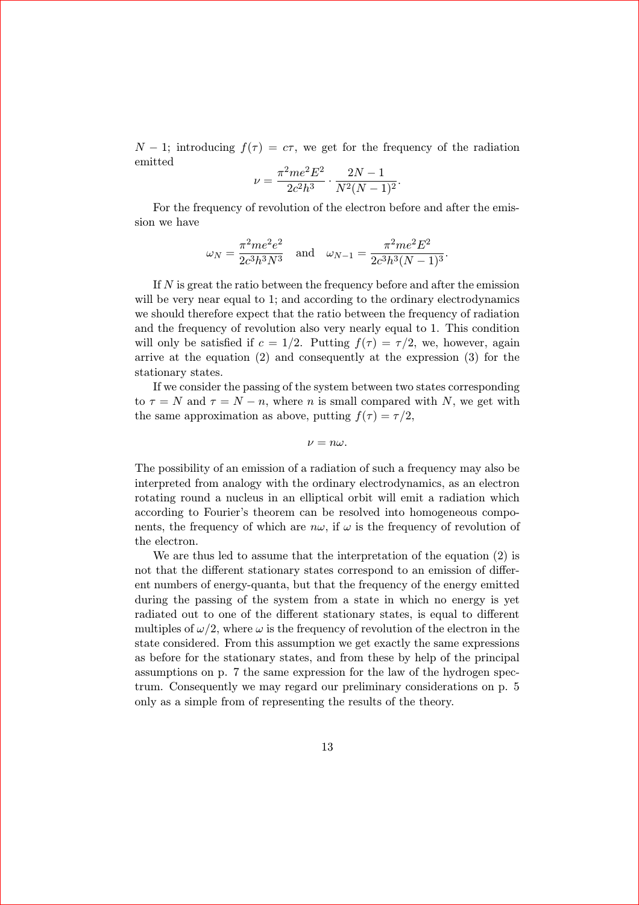$N-1$ ; introducing  $f(\tau) = c\tau$ , we get for the frequency of the radiation emitted

$$
\nu = \frac{\pi^2 m e^2 E^2}{2c^2 h^3} \cdot \frac{2N - 1}{N^2 (N - 1)^2}.
$$

For the frequency of revolution of the electron before and after the emission we have

$$
\omega_N = \frac{\pi^2 m e^2 e^2}{2c^3 h^3 N^3}
$$
 and  $\omega_{N-1} = \frac{\pi^2 m e^2 E^2}{2c^3 h^3 (N-1)^3}$ .

If  $N$  is great the ratio between the frequency before and after the emission will be very near equal to 1; and according to the ordinary electrodynamics we should therefore expect that the ratio between the frequency of radiation and the frequency of revolution also very nearly equal to 1. This condition will only be satisfied if  $c = 1/2$ . Putting  $f(\tau) = \tau/2$ , we, however, again arrive at the equation (2) and consequently at the expression (3) for the stationary states.

If we consider the passing of the system between two states corresponding to  $\tau = N$  and  $\tau = N - n$ , where n is small compared with N, we get with the same approximation as above, putting  $f(\tau) = \tau/2$ ,

$$
\nu=n\omega.
$$

The possibility of an emission of a radiation of such a frequency may also be interpreted from analogy with the ordinary electrodynamics, as an electron rotating round a nucleus in an elliptical orbit will emit a radiation which according to Fourier's theorem can be resolved into homogeneous components, the frequency of which are  $n\omega$ , if  $\omega$  is the frequency of revolution of the electron.

We are thus led to assume that the interpretation of the equation (2) is not that the different stationary states correspond to an emission of different numbers of energy-quanta, but that the frequency of the energy emitted during the passing of the system from a state in which no energy is yet radiated out to one of the different stationary states, is equal to different multiples of  $\omega/2$ , where  $\omega$  is the frequency of revolution of the electron in the state considered. From this assumption we get exactly the same expressions as before for the stationary states, and from these by help of the principal assumptions on p. 7 the same expression for the law of the hydrogen spectrum. Consequently we may regard our preliminary considerations on p. 5 only as a simple from of representing the results of the theory.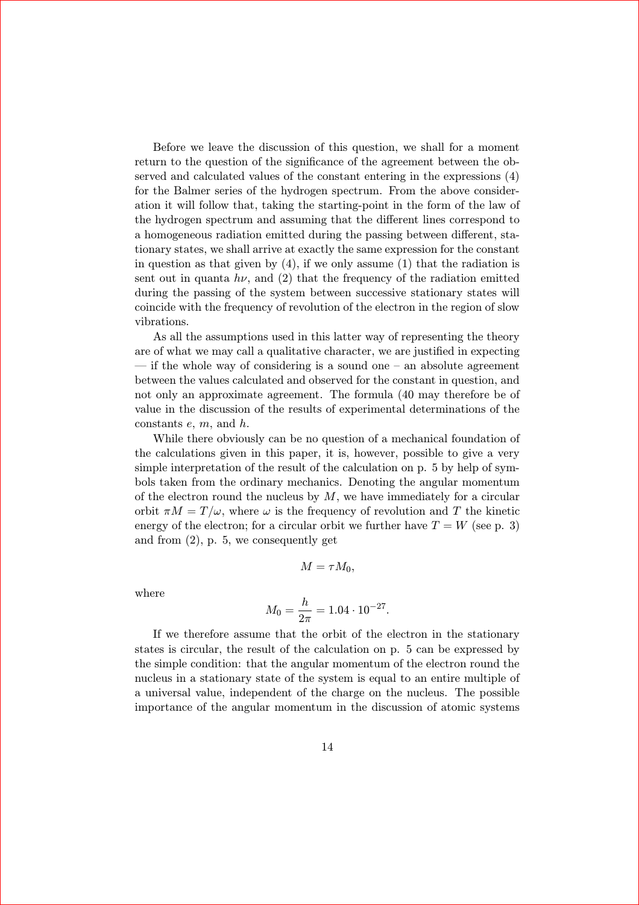Before we leave the discussion of this question, we shall for a moment return to the question of the significance of the agreement between the observed and calculated values of the constant entering in the expressions (4) for the Balmer series of the hydrogen spectrum. From the above consideration it will follow that, taking the starting-point in the form of the law of the hydrogen spectrum and assuming that the different lines correspond to a homogeneous radiation emitted during the passing between different, stationary states, we shall arrive at exactly the same expression for the constant in question as that given by  $(4)$ , if we only assume  $(1)$  that the radiation is sent out in quanta  $h\nu$ , and (2) that the frequency of the radiation emitted during the passing of the system between successive stationary states will coincide with the frequency of revolution of the electron in the region of slow vibrations.

As all the assumptions used in this latter way of representing the theory are of what we may call a qualitative character, we are justified in expecting  $\frac{1}{x}$  if the whole way of considering is a sound one – an absolute agreement between the values calculated and observed for the constant in question, and not only an approximate agreement. The formula (40 may therefore be of value in the discussion of the results of experimental determinations of the constants  $e, m$ , and  $h$ .

While there obviously can be no question of a mechanical foundation of the calculations given in this paper, it is, however, possible to give a very simple interpretation of the result of the calculation on p. 5 by help of symbols taken from the ordinary mechanics. Denoting the angular momentum of the electron round the nucleus by  $M$ , we have immediately for a circular orbit  $\pi M = T/\omega$ , where  $\omega$  is the frequency of revolution and T the kinetic energy of the electron; for a circular orbit we further have  $T = W$  (see p. 3) and from (2), p. 5, we consequently get

$$
M=\tau M_0,
$$

where

$$
M_0 = \frac{h}{2\pi} = 1.04 \cdot 10^{-27}.
$$

If we therefore assume that the orbit of the electron in the stationary states is circular, the result of the calculation on p. 5 can be expressed by the simple condition: that the angular momentum of the electron round the nucleus in a stationary state of the system is equal to an entire multiple of a universal value, independent of the charge on the nucleus. The possible importance of the angular momentum in the discussion of atomic systems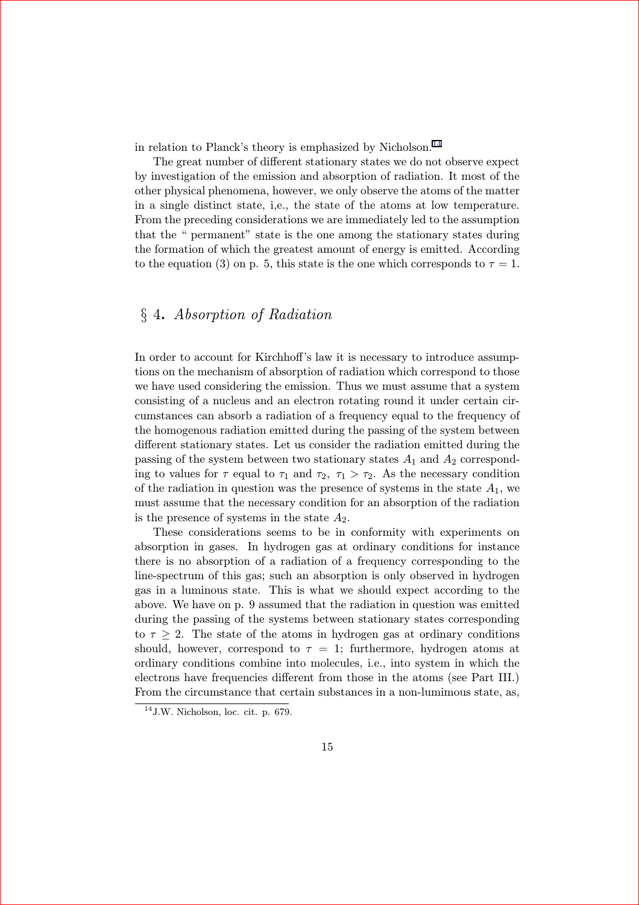in relation to Planck's theory is emphasized by Nicholson.<sup>[14](#page-14-0)</sup>

The great number of different stationary states we do not observe expect by investigation of the emission and absorption of radiation. It most of the other physical phenomena, however, we only observe the atoms of the matter in a single distinct state, i,e., the state of the atoms at low temperature. From the preceding considerations we are immediately led to the assumption that the " permanent" state is the one among the stationary states during the formation of which the greatest amount of energy is emitted. According to the equation (3) on p. 5, this state is the one which corresponds to  $\tau = 1$ .

# § 4. Absorption of Radiation

In order to account for Kirchhoff's law it is necessary to introduce assumptions on the mechanism of absorption of radiation which correspond to those we have used considering the emission. Thus we must assume that a system consisting of a nucleus and an electron rotating round it under certain circumstances can absorb a radiation of a frequency equal to the frequency of the homogenous radiation emitted during the passing of the system between different stationary states. Let us consider the radiation emitted during the passing of the system between two stationary states  $A_1$  and  $A_2$  corresponding to values for  $\tau$  equal to  $\tau_1$  and  $\tau_2$ ,  $\tau_1 > \tau_2$ . As the necessary condition of the radiation in question was the presence of systems in the state  $A_1$ , we must assume that the necessary condition for an absorption of the radiation is the presence of systems in the state  $A_2$ .

These considerations seems to be in conformity with experiments on absorption in gases. In hydrogen gas at ordinary conditions for instance there is no absorption of a radiation of a frequency corresponding to the line-spectrum of this gas; such an absorption is only observed in hydrogen gas in a luminous state. This is what we should expect according to the above. We have on p. 9 assumed that the radiation in question was emitted during the passing of the systems between stationary states corresponding to  $\tau \geq 2$ . The state of the atoms in hydrogen gas at ordinary conditions should, however, correspond to  $\tau = 1$ ; furthermore, hydrogen atoms at ordinary conditions combine into molecules, i.e., into system in which the electrons have frequencies different from those in the atoms (see Part III.) From the circumstance that certain substances in a non-lumimous state, as,

<span id="page-14-0"></span> $14$ J.W. Nicholson, loc. cit. p. 679.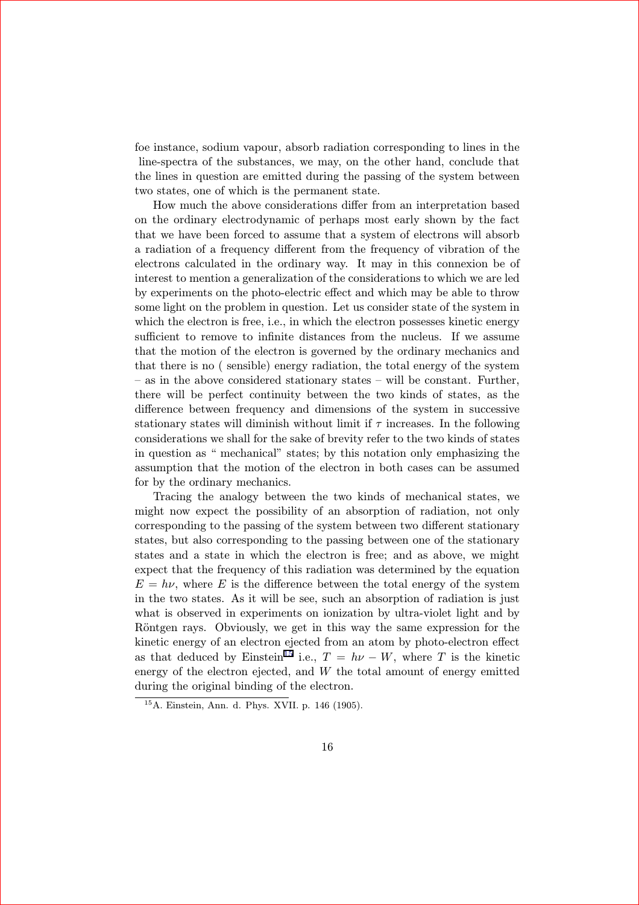foe instance, sodium vapour, absorb radiation corresponding to lines in the line-spectra of the substances, we may, on the other hand, conclude that the lines in question are emitted during the passing of the system between two states, one of which is the permanent state.

How much the above considerations differ from an interpretation based on the ordinary electrodynamic of perhaps most early shown by the fact that we have been forced to assume that a system of electrons will absorb a radiation of a frequency different from the frequency of vibration of the electrons calculated in the ordinary way. It may in this connexion be of interest to mention a generalization of the considerations to which we are led by experiments on the photo-electric effect and which may be able to throw some light on the problem in question. Let us consider state of the system in which the electron is free, i.e., in which the electron possesses kinetic energy sufficient to remove to infinite distances from the nucleus. If we assume that the motion of the electron is governed by the ordinary mechanics and that there is no ( sensible) energy radiation, the total energy of the system – as in the above considered stationary states – will be constant. Further, there will be perfect continuity between the two kinds of states, as the difference between frequency and dimensions of the system in successive stationary states will diminish without limit if  $\tau$  increases. In the following considerations we shall for the sake of brevity refer to the two kinds of states in question as " mechanical" states; by this notation only emphasizing the assumption that the motion of the electron in both cases can be assumed for by the ordinary mechanics.

Tracing the analogy between the two kinds of mechanical states, we might now expect the possibility of an absorption of radiation, not only corresponding to the passing of the system between two different stationary states, but also corresponding to the passing between one of the stationary states and a state in which the electron is free; and as above, we might expect that the frequency of this radiation was determined by the equation  $E = h\nu$ , where E is the difference between the total energy of the system in the two states. As it will be see, such an absorption of radiation is just what is observed in experiments on ionization by ultra-violet light and by Röntgen rays. Obviously, we get in this way the same expression for the kinetic energy of an electron ejected from an atom by photo-electron effect as that deduced by Einstein<sup>[15](#page-15-0)</sup> i.e.,  $T = h\nu - W$ , where T is the kinetic energy of the electron ejected, and  $W$  the total amount of energy emitted during the original binding of the electron.

<span id="page-15-0"></span><sup>15</sup>A. Einstein, Ann. d. Phys. XVII. p. 146 (1905).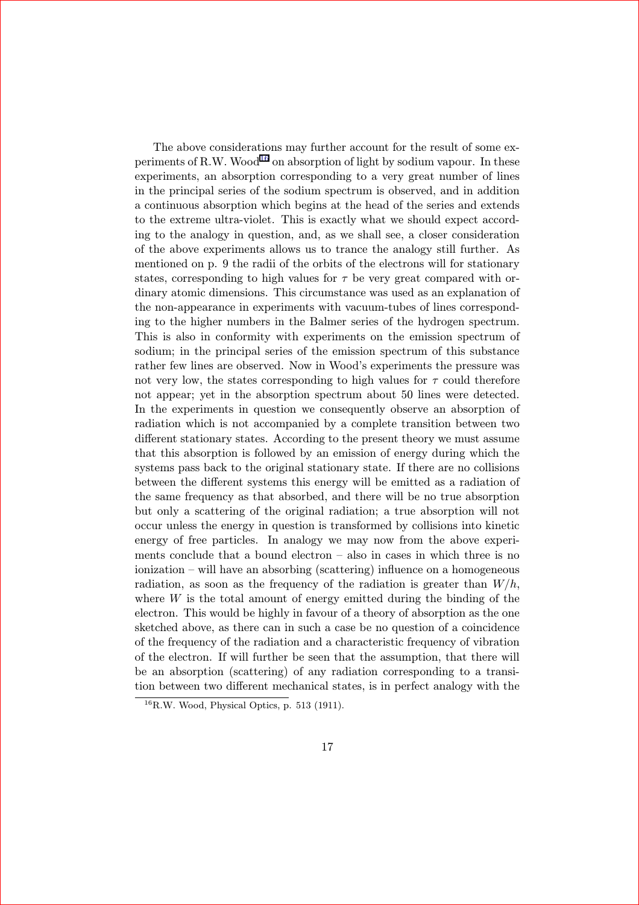The above considerations may further account for the result of some ex-periments of R.W. Wood<sup>[16](#page-16-0)</sup> on absorption of light by sodium vapour. In these experiments, an absorption corresponding to a very great number of lines in the principal series of the sodium spectrum is observed, and in addition a continuous absorption which begins at the head of the series and extends to the extreme ultra-violet. This is exactly what we should expect according to the analogy in question, and, as we shall see, a closer consideration of the above experiments allows us to trance the analogy still further. As mentioned on p. 9 the radii of the orbits of the electrons will for stationary states, corresponding to high values for  $\tau$  be very great compared with ordinary atomic dimensions. This circumstance was used as an explanation of the non-appearance in experiments with vacuum-tubes of lines corresponding to the higher numbers in the Balmer series of the hydrogen spectrum. This is also in conformity with experiments on the emission spectrum of sodium; in the principal series of the emission spectrum of this substance rather few lines are observed. Now in Wood's experiments the pressure was not very low, the states corresponding to high values for  $\tau$  could therefore not appear; yet in the absorption spectrum about 50 lines were detected. In the experiments in question we consequently observe an absorption of radiation which is not accompanied by a complete transition between two different stationary states. According to the present theory we must assume that this absorption is followed by an emission of energy during which the systems pass back to the original stationary state. If there are no collisions between the different systems this energy will be emitted as a radiation of the same frequency as that absorbed, and there will be no true absorption but only a scattering of the original radiation; a true absorption will not occur unless the energy in question is transformed by collisions into kinetic energy of free particles. In analogy we may now from the above experiments conclude that a bound electron – also in cases in which three is no ionization – will have an absorbing (scattering) influence on a homogeneous radiation, as soon as the frequency of the radiation is greater than  $W/h$ , where  $W$  is the total amount of energy emitted during the binding of the electron. This would be highly in favour of a theory of absorption as the one sketched above, as there can in such a case be no question of a coincidence of the frequency of the radiation and a characteristic frequency of vibration of the electron. If will further be seen that the assumption, that there will be an absorption (scattering) of any radiation corresponding to a transition between two different mechanical states, is in perfect analogy with the

<span id="page-16-0"></span> $16$ R.W. Wood, Physical Optics, p. 513 (1911).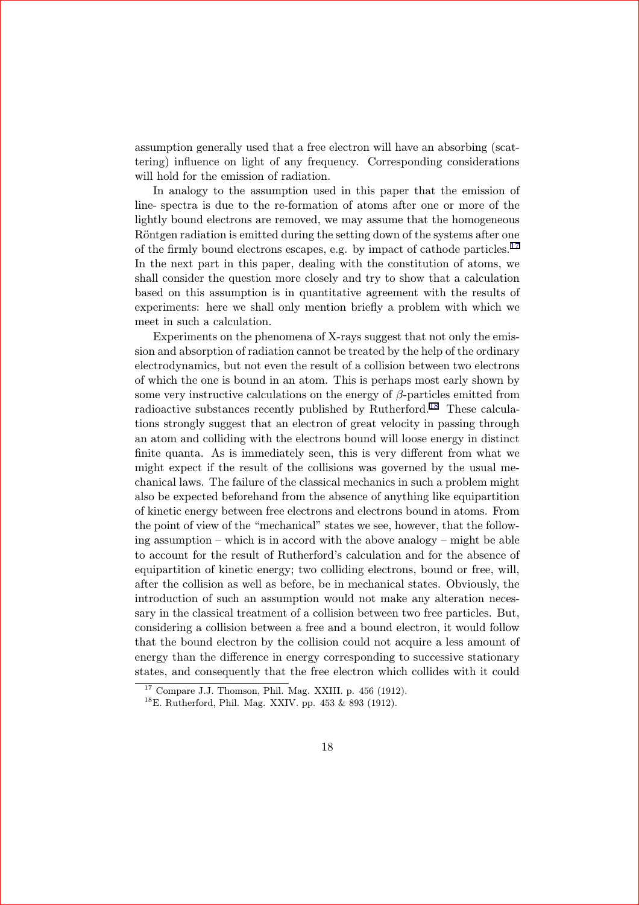assumption generally used that a free electron will have an absorbing (scattering) influence on light of any frequency. Corresponding considerations will hold for the emission of radiation.

In analogy to the assumption used in this paper that the emission of line- spectra is due to the re-formation of atoms after one or more of the lightly bound electrons are removed, we may assume that the homogeneous Röntgen radiation is emitted during the setting down of the systems after one of the firmly bound electrons escapes, e.g. by impact of cathode particles.<sup>[17](#page-17-0)</sup> In the next part in this paper, dealing with the constitution of atoms, we shall consider the question more closely and try to show that a calculation based on this assumption is in quantitative agreement with the results of experiments: here we shall only mention briefly a problem with which we meet in such a calculation.

Experiments on the phenomena of X-rays suggest that not only the emission and absorption of radiation cannot be treated by the help of the ordinary electrodynamics, but not even the result of a collision between two electrons of which the one is bound in an atom. This is perhaps most early shown by some very instructive calculations on the energy of  $\beta$ -particles emitted from radioactive substances recently published by Rutherford.[18](#page-17-0) These calculations strongly suggest that an electron of great velocity in passing through an atom and colliding with the electrons bound will loose energy in distinct finite quanta. As is immediately seen, this is very different from what we might expect if the result of the collisions was governed by the usual mechanical laws. The failure of the classical mechanics in such a problem might also be expected beforehand from the absence of anything like equipartition of kinetic energy between free electrons and electrons bound in atoms. From the point of view of the "mechanical" states we see, however, that the following assumption – which is in accord with the above analogy – might be able to account for the result of Rutherford's calculation and for the absence of equipartition of kinetic energy; two colliding electrons, bound or free, will, after the collision as well as before, be in mechanical states. Obviously, the introduction of such an assumption would not make any alteration necessary in the classical treatment of a collision between two free particles. But, considering a collision between a free and a bound electron, it would follow that the bound electron by the collision could not acquire a less amount of energy than the difference in energy corresponding to successive stationary states, and consequently that the free electron which collides with it could

<sup>&</sup>lt;sup>17</sup> Compare J.J. Thomson, Phil. Mag. XXIII. p. 456 (1912).

<span id="page-17-0"></span><sup>&</sup>lt;sup>18</sup>E. Rutherford, Phil. Mag. XXIV. pp.  $453 \& 893$  (1912).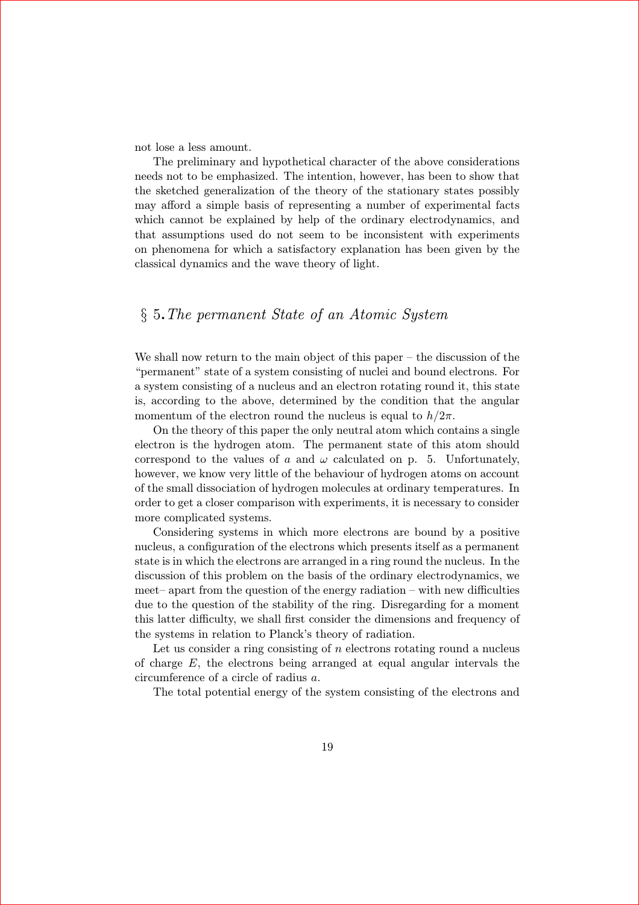not lose a less amount.

The preliminary and hypothetical character of the above considerations needs not to be emphasized. The intention, however, has been to show that the sketched generalization of the theory of the stationary states possibly may afford a simple basis of representing a number of experimental facts which cannot be explained by help of the ordinary electrodynamics, and that assumptions used do not seem to be inconsistent with experiments on phenomena for which a satisfactory explanation has been given by the classical dynamics and the wave theory of light.

# § 5.The permanent State of an Atomic System

We shall now return to the main object of this paper – the discussion of the "permanent" state of a system consisting of nuclei and bound electrons. For a system consisting of a nucleus and an electron rotating round it, this state is, according to the above, determined by the condition that the angular momentum of the electron round the nucleus is equal to  $h/2\pi$ .

On the theory of this paper the only neutral atom which contains a single electron is the hydrogen atom. The permanent state of this atom should correspond to the values of a and  $\omega$  calculated on p. 5. Unfortunately, however, we know very little of the behaviour of hydrogen atoms on account of the small dissociation of hydrogen molecules at ordinary temperatures. In order to get a closer comparison with experiments, it is necessary to consider more complicated systems.

Considering systems in which more electrons are bound by a positive nucleus, a configuration of the electrons which presents itself as a permanent state is in which the electrons are arranged in a ring round the nucleus. In the discussion of this problem on the basis of the ordinary electrodynamics, we meet– apart from the question of the energy radiation – with new difficulties due to the question of the stability of the ring. Disregarding for a moment this latter difficulty, we shall first consider the dimensions and frequency of the systems in relation to Planck's theory of radiation.

Let us consider a ring consisting of  $n$  electrons rotating round a nucleus of charge E, the electrons being arranged at equal angular intervals the circumference of a circle of radius a.

The total potential energy of the system consisting of the electrons and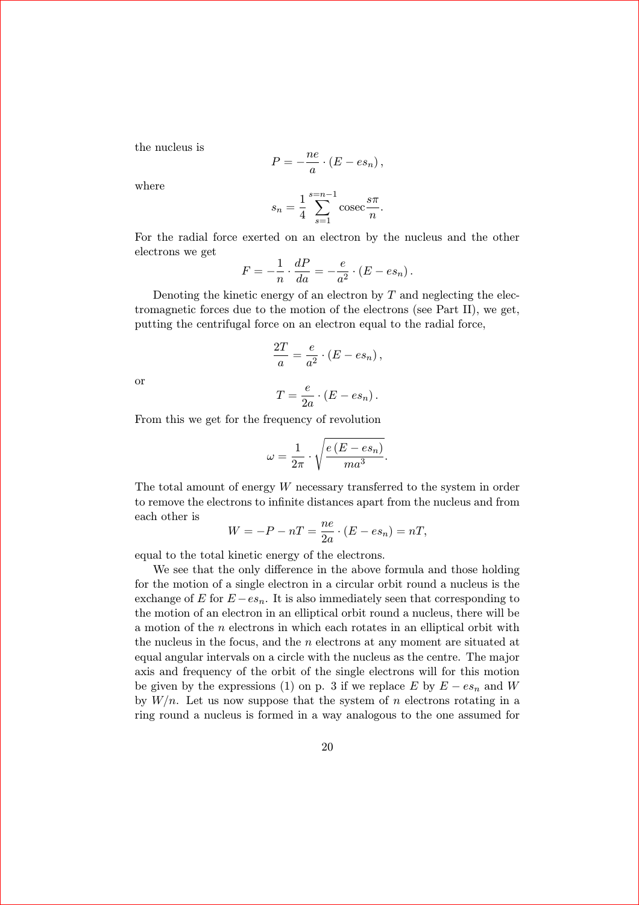the nucleus is

$$
P=-\frac{ne}{a}\cdot\left(E-es_{n}\right),
$$

where

$$
s_n = \frac{1}{4} \sum_{s=1}^{s=n-1} \csc \frac{s\pi}{n}.
$$

For the radial force exerted on an electron by the nucleus and the other electrons we get

$$
F = -\frac{1}{n} \cdot \frac{dP}{da} = -\frac{e}{a^2} \cdot (E - es_n).
$$

Denoting the kinetic energy of an electron by  $T$  and neglecting the electromagnetic forces due to the motion of the electrons (see Part II), we get, putting the centrifugal force on an electron equal to the radial force,

$$
\frac{2T}{a} = \frac{e}{a^2} \cdot (E - es_n),
$$

or

$$
T = \frac{e}{2a} \cdot (E - es_n).
$$

From this we get for the frequency of revolution

$$
\omega = \frac{1}{2\pi} \cdot \sqrt{\frac{e\left(E - es_n\right)}{ma^3}}.
$$

The total amount of energy  $W$  necessary transferred to the system in order to remove the electrons to infinite distances apart from the nucleus and from each other is

$$
W = -P - nT = \frac{ne}{2a} \cdot (E - es_n) = nT,
$$

equal to the total kinetic energy of the electrons.

We see that the only difference in the above formula and those holding for the motion of a single electron in a circular orbit round a nucleus is the exchange of E for  $E - es_n$ . It is also immediately seen that corresponding to the motion of an electron in an elliptical orbit round a nucleus, there will be a motion of the n electrons in which each rotates in an elliptical orbit with the nucleus in the focus, and the  $n$  electrons at any moment are situated at equal angular intervals on a circle with the nucleus as the centre. The major axis and frequency of the orbit of the single electrons will for this motion be given by the expressions (1) on p. 3 if we replace E by  $E - es_n$  and W by  $W/n$ . Let us now suppose that the system of n electrons rotating in a ring round a nucleus is formed in a way analogous to the one assumed for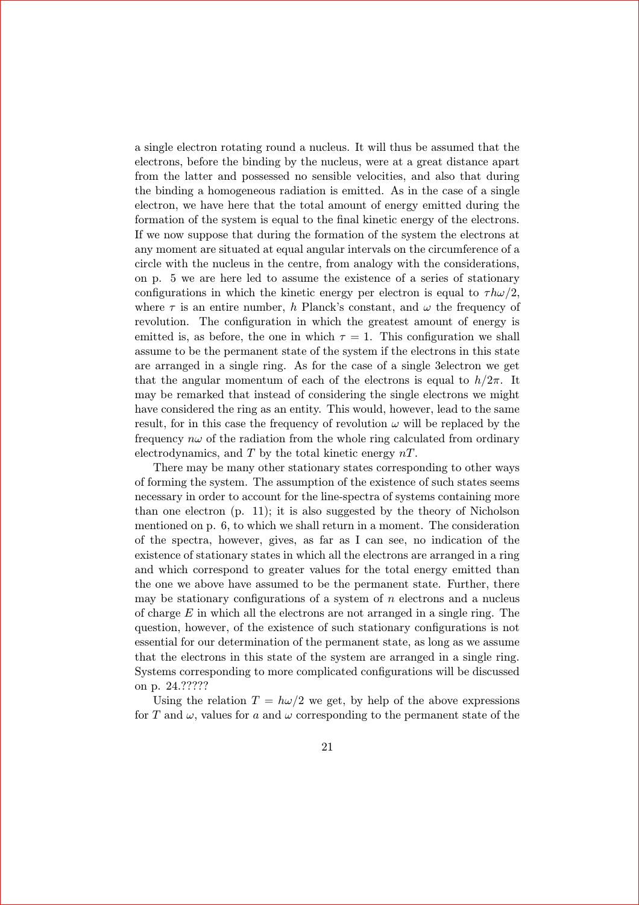a single electron rotating round a nucleus. It will thus be assumed that the electrons, before the binding by the nucleus, were at a great distance apart from the latter and possessed no sensible velocities, and also that during the binding a homogeneous radiation is emitted. As in the case of a single electron, we have here that the total amount of energy emitted during the formation of the system is equal to the final kinetic energy of the electrons. If we now suppose that during the formation of the system the electrons at any moment are situated at equal angular intervals on the circumference of a circle with the nucleus in the centre, from analogy with the considerations, on p. 5 we are here led to assume the existence of a series of stationary configurations in which the kinetic energy per electron is equal to  $\tau h \omega/2$ , where  $\tau$  is an entire number, h Planck's constant, and  $\omega$  the frequency of revolution. The configuration in which the greatest amount of energy is emitted is, as before, the one in which  $\tau = 1$ . This configuration we shall assume to be the permanent state of the system if the electrons in this state are arranged in a single ring. As for the case of a single 3electron we get that the angular momentum of each of the electrons is equal to  $h/2\pi$ . It may be remarked that instead of considering the single electrons we might have considered the ring as an entity. This would, however, lead to the same result, for in this case the frequency of revolution  $\omega$  will be replaced by the frequency  $n\omega$  of the radiation from the whole ring calculated from ordinary electrodynamics, and  $T$  by the total kinetic energy  $nT$ .

There may be many other stationary states corresponding to other ways of forming the system. The assumption of the existence of such states seems necessary in order to account for the line-spectra of systems containing more than one electron (p. 11); it is also suggested by the theory of Nicholson mentioned on p. 6, to which we shall return in a moment. The consideration of the spectra, however, gives, as far as I can see, no indication of the existence of stationary states in which all the electrons are arranged in a ring and which correspond to greater values for the total energy emitted than the one we above have assumed to be the permanent state. Further, there may be stationary configurations of a system of  $n$  electrons and a nucleus of charge  $E$  in which all the electrons are not arranged in a single ring. The question, however, of the existence of such stationary configurations is not essential for our determination of the permanent state, as long as we assume that the electrons in this state of the system are arranged in a single ring. Systems corresponding to more complicated configurations will be discussed on p. 24.?????

Using the relation  $T = h\omega/2$  we get, by help of the above expressions for T and  $\omega$ , values for a and  $\omega$  corresponding to the permanent state of the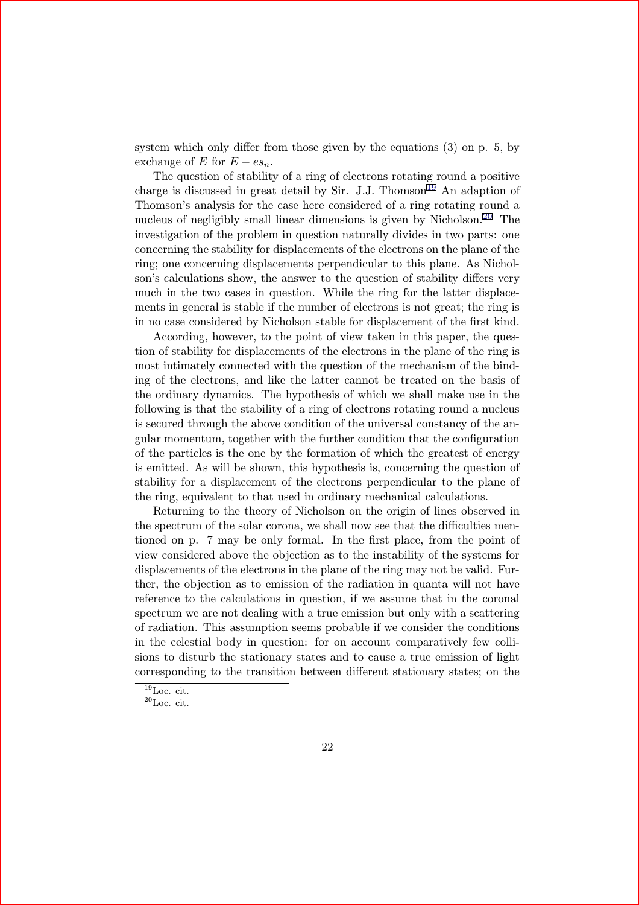system which only differ from those given by the equations (3) on p. 5, by exchange of E for  $E - es_n$ .

The question of stability of a ring of electrons rotating round a positive charge is discussed in great detail by Sir. J.J. Thomson<sup>[19](#page-21-0)</sup> An adaption of Thomson's analysis for the case here considered of a ring rotating round a nucleus of negligibly small linear dimensions is given by Nicholson.<sup>[20](#page-21-0)</sup> The investigation of the problem in question naturally divides in two parts: one concerning the stability for displacements of the electrons on the plane of the ring; one concerning displacements perpendicular to this plane. As Nicholson's calculations show, the answer to the question of stability differs very much in the two cases in question. While the ring for the latter displacements in general is stable if the number of electrons is not great; the ring is in no case considered by Nicholson stable for displacement of the first kind.

According, however, to the point of view taken in this paper, the question of stability for displacements of the electrons in the plane of the ring is most intimately connected with the question of the mechanism of the binding of the electrons, and like the latter cannot be treated on the basis of the ordinary dynamics. The hypothesis of which we shall make use in the following is that the stability of a ring of electrons rotating round a nucleus is secured through the above condition of the universal constancy of the angular momentum, together with the further condition that the configuration of the particles is the one by the formation of which the greatest of energy is emitted. As will be shown, this hypothesis is, concerning the question of stability for a displacement of the electrons perpendicular to the plane of the ring, equivalent to that used in ordinary mechanical calculations.

Returning to the theory of Nicholson on the origin of lines observed in the spectrum of the solar corona, we shall now see that the difficulties mentioned on p. 7 may be only formal. In the first place, from the point of view considered above the objection as to the instability of the systems for displacements of the electrons in the plane of the ring may not be valid. Further, the objection as to emission of the radiation in quanta will not have reference to the calculations in question, if we assume that in the coronal spectrum we are not dealing with a true emission but only with a scattering of radiation. This assumption seems probable if we consider the conditions in the celestial body in question: for on account comparatively few collisions to disturb the stationary states and to cause a true emission of light corresponding to the transition between different stationary states; on the

 $19$ Loc. cit.

<span id="page-21-0"></span> $20$ Loc. cit.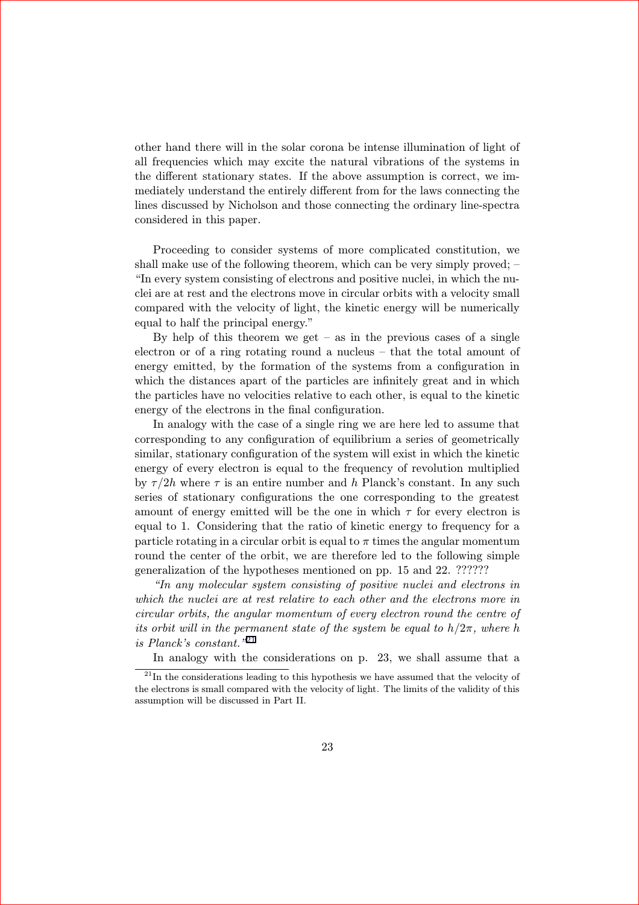other hand there will in the solar corona be intense illumination of light of all frequencies which may excite the natural vibrations of the systems in the different stationary states. If the above assumption is correct, we immediately understand the entirely different from for the laws connecting the lines discussed by Nicholson and those connecting the ordinary line-spectra considered in this paper.

Proceeding to consider systems of more complicated constitution, we shall make use of the following theorem, which can be very simply proved; – "In every system consisting of electrons and positive nuclei, in which the nuclei are at rest and the electrons move in circular orbits with a velocity small compared with the velocity of light, the kinetic energy will be numerically equal to half the principal energy."

By help of this theorem we get – as in the previous cases of a single electron or of a ring rotating round a nucleus – that the total amount of energy emitted, by the formation of the systems from a configuration in which the distances apart of the particles are infinitely great and in which the particles have no velocities relative to each other, is equal to the kinetic energy of the electrons in the final configuration.

In analogy with the case of a single ring we are here led to assume that corresponding to any configuration of equilibrium a series of geometrically similar, stationary configuration of the system will exist in which the kinetic energy of every electron is equal to the frequency of revolution multiplied by  $\tau/2h$  where  $\tau$  is an entire number and h Planck's constant. In any such series of stationary configurations the one corresponding to the greatest amount of energy emitted will be the one in which  $\tau$  for every electron is equal to 1. Considering that the ratio of kinetic energy to frequency for a particle rotating in a circular orbit is equal to  $\pi$  times the angular momentum round the center of the orbit, we are therefore led to the following simple generalization of the hypotheses mentioned on pp. 15 and 22. ??????

"In any molecular system consisting of positive nuclei and electrons in which the nuclei are at rest relatire to each other and the electrons more in circular orbits, the angular momentum of every electron round the centre of its orbit will in the permanent state of the system be equal to  $h/2\pi$ , where h is Planck's constant."[21](#page-22-0)

In analogy with the considerations on p. 23, we shall assume that a

<span id="page-22-0"></span> $21$ In the considerations leading to this hypothesis we have assumed that the velocity of the electrons is small compared with the velocity of light. The limits of the validity of this assumption will be discussed in Part II.